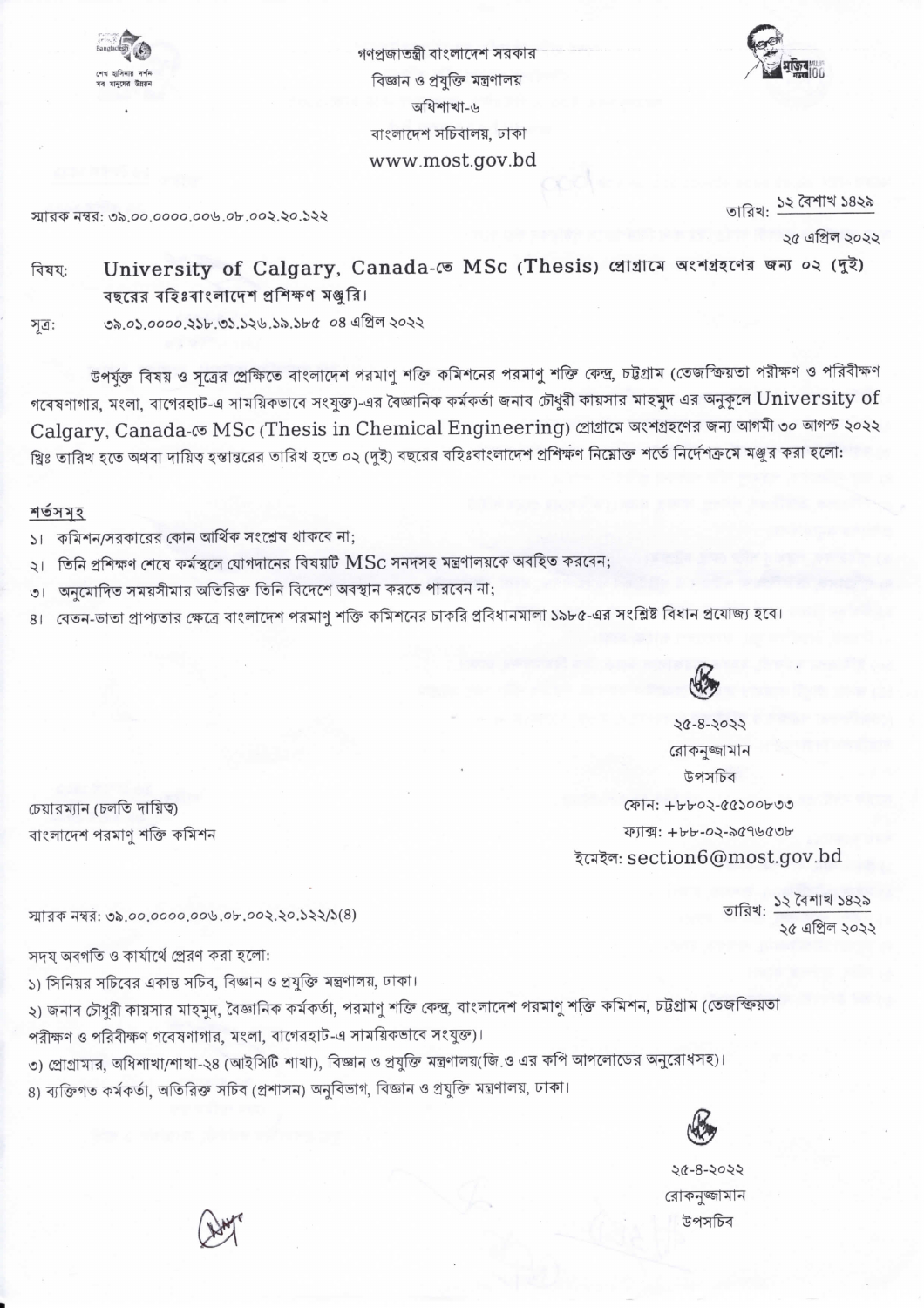

গণপ্রজাতন্ত্রী বাংলাদেশ সরকার বিজ্ঞান ও প্রযুক্তি মন্ত্রণালয় অধিশাখা-৬ বাংলাদেশ সচিবালয়, ঢাকা www.most.gov.bd



স্মারক নম্বর: ৩৯.০০.০০০০.০০৬.০৮.০০২.২০.১২২

তারিখ: <u>১২ বৈশা</u>খ ১৪২৯

২৫ এপ্রিল ২০২২

University of Calgary, Canada- ( MSc (Thesis) প্রোগ্রামে অংশগ্রহণের জন্য ০২ (দুই) বিষয: বছরের বহিঃবাংলাদেশ প্রশিক্ষণ মঞ্জুরি।

৩৯.০১.০০০০.২১৮.৩১.১২৬.১৯.১৮৫ ০৪ এপ্রিল ২০২২ সূত্র:

উপর্যুক্ত বিষয় ও সূত্রের প্রেক্ষিতে বাংলাদেশ পরমাণু শক্তি কমিশনের পরমাণু শক্তি কেন্দ্র, চট্টগ্রাম (তেজস্ক্রিয়তা পরীক্ষণ ও পরিবীক্ষণ গবেষণাগার, মংলা, বাগেরহাট-এ সাময়িকভাবে সংযুক্ত)-এর বৈজ্ঞানিক কর্মকর্তা জনাব চৌধুরী কায়সার মাহমুদ এর অনুকূলে  $\sf University~of$ Calgary, Canada-তে MSc (Thesis in Chemical Engineering) প্ৰোগ্ৰামে অংশগ্ৰহণের জন্য আগমী ৩০ আগস্ট ২০২২ খ্রিঃ তারিখ হতে অথবা দায়িত্ব হস্তান্তরের তারিখ হতে ০২ (দুই) বছরের বহিঃবাংলাদেশ প্রশিক্ষণ নিম্নোক্ত শর্তে নির্দেশক্রমে মঞ্জুর করা হলো:

## শর্তসমহ

কমিশন/সরকারের কোন আর্থিক সংশ্লেষ থাকবে না:  $\mathcal{L}$ 

- ২। তিনি প্রশিক্ষণ শেষে কর্মস্থলে যোগদানের বিষয়টি  ${\rm MSc}$  সনদসহ মন্ত্রণালয়কে অবহিত করবেন;
- অনমোদিত সময়সীমার অতিরিক্ত তিনি বিদেশে অবস্থান করতে পারবেন না;  $\overline{0}$
- ৪। বেতন-ভাতা প্রাপ্যতার ক্ষেত্রে বাংলাদেশ পরমাণু শক্তি কমিশনের চাকরি প্রবিধানমালা ১৯৮৫-এর সংশ্লিষ্ট বিধান প্রযোজ্য হবে



20-8-2022 রোকনজ্জামান উপসচিব ফোন: +৮৮০২-৫৫১০০৮৩৩ ফ্যাক্স: +৮৮-০২-৯৫৭৬৫৩৮ ইমেইল: section6@most.gov.bd

> তারিখ: ১২ বৈশাখ ১৪২৯ ১৫ এপ্রিল ১০১১

চেয়ারম্যান (চলতি দায়িত্ব) বাংলাদেশ পরমাণু শক্তি কমিশন

স্মারক নম্বর: ৩৯.০০.০০০০.০০৬.০৮.০০২.২০.১২২/১(৪)

সদয অবগতি ও কার্যার্থে প্রেরণ করা হলো:

১) সিনিয়র সচিবের একান্ত সচিব, বিজ্ঞান ও প্রযুক্তি মন্ত্রণালয়, ঢাকা।

২) জনাব চৌধুরী কায়সার মাহমুদ, বৈজ্ঞানিক কর্মকর্তা, পরমাণু শক্তি কেন্দ্র, বাংলাদেশ পরমাণু শক্তি কমিশন, চট্টগ্রাম (তেজস্ক্রিয়তা পরীক্ষণ ও পরিবীক্ষণ গবেষণাগার, মংলা, বাগেরহাট-এ সাময়িকভাবে সংযুক্ত)।

৩) প্রোগ্রামার, অধিশাখা/শাখা-২৪ (আইসিটি শাখা), বিজ্ঞান ও প্রযুক্তি মন্ত্রণালয়(জি.ও এর কপি আপলোডের অনুরোধসহ)। ৪) ব্যক্তিগত কর্মকর্তা, অতিরিক্ত সচিব (প্রশাসন) অনুবিভাগ, বিজ্ঞান ও প্রযুক্তি মন্ত্রণালয়, ঢাকা।



 $202-8-2022$ রোকনজ্জামান উপসচিব